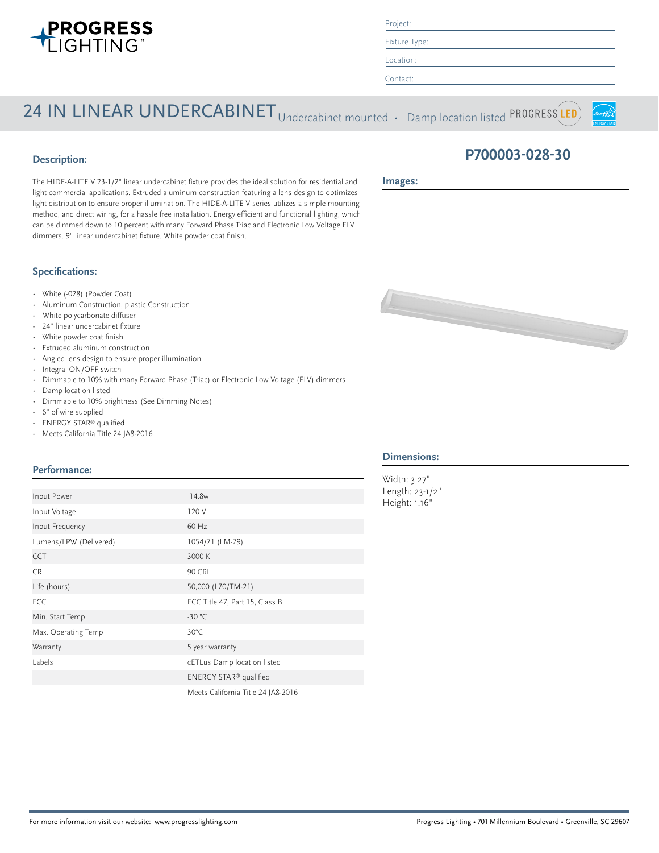

Project:

Fixture Type: Location:

Contact:

# 24 IN LINEAR UNDERCABINET Undercabinet mounted • Damp location listed PROGRESS LED



### **Description:**

**Images:**

The HIDE-A-LITE V 23-1/2" linear undercabinet fixture provides the ideal solution for residential and light commercial applications. Extruded aluminum construction featuring a lens design to optimizes light distribution to ensure proper illumination. The HIDE-A-LITE V series utilizes a simple mounting method, and direct wiring, for a hassle free installation. Energy efficient and functional lighting, which can be dimmed down to 10 percent with many Forward Phase Triac and Electronic Low Voltage ELV dimmers. 9" linear undercabinet fixture. White powder coat finish.

#### **Specifications:**

- White (-028) (Powder Coat)
- Aluminum Construction, plastic Construction
- White polycarbonate diffuser
- 24" linear undercabinet fixture
- White powder coat finish
- Extruded aluminum construction
- Angled lens design to ensure proper illumination
- Integral ON/OFF switch
- Dimmable to 10% with many Forward Phase (Triac) or Electronic Low Voltage (ELV) dimmers
- Damp location listed
- Dimmable to 10% brightness (See Dimming Notes)
- 6" of wire supplied
- ENERGY STAR® qualified
- Meets California Title 24 JA8-2016

#### **Performance:**

| Input Power            | 14.8 <sub>w</sub>                  | ŀ |  |  |  |  |
|------------------------|------------------------------------|---|--|--|--|--|
| Input Voltage          | 120 V                              |   |  |  |  |  |
| Input Frequency        | 60 Hz                              |   |  |  |  |  |
| Lumens/LPW (Delivered) | 1054/71 (LM-79)                    |   |  |  |  |  |
| <b>CCT</b>             | 3000 K                             |   |  |  |  |  |
| <b>CRI</b>             | 90 CRI                             |   |  |  |  |  |
| Life (hours)           | 50,000 (L70/TM-21)                 |   |  |  |  |  |
| <b>FCC</b>             | FCC Title 47, Part 15, Class B     |   |  |  |  |  |
| Min. Start Temp        | $-30 °C$                           |   |  |  |  |  |
| Max. Operating Temp    | $30^{\circ}$ C                     |   |  |  |  |  |
| Warranty               | 5 year warranty                    |   |  |  |  |  |
| Labels                 | cETLus Damp location listed        |   |  |  |  |  |
|                        | ENERGY STAR® qualified             |   |  |  |  |  |
|                        | Meets California Title 24 JA8-2016 |   |  |  |  |  |

## **P700003-028-30**



#### **Dimensions:**

Width: 3.27" Length: 23-1/2" Height: 1.16"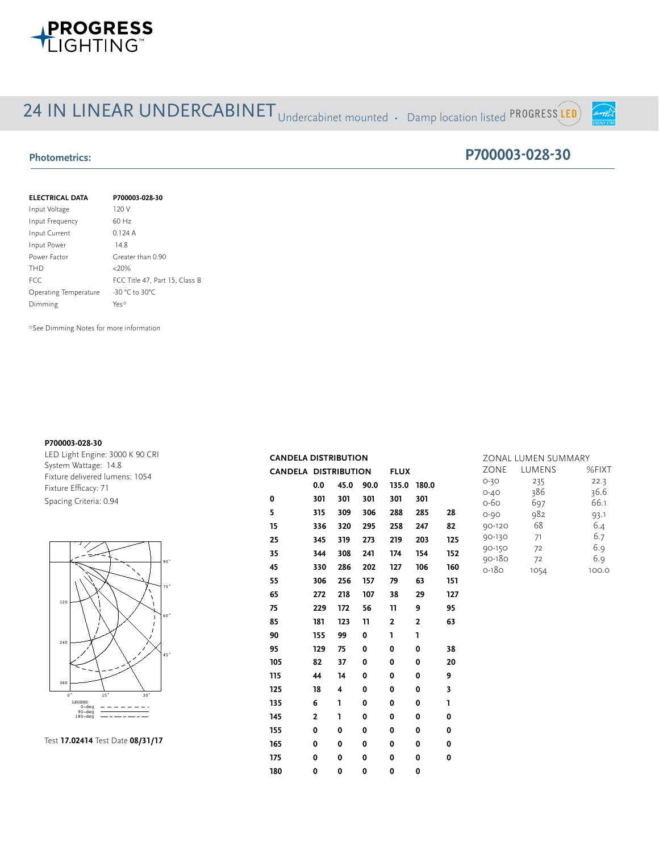

# 24 IN LINEAR UNDERCABINET Undercabinet mounted • Damp location listed PROGRESS LED

#### **Photometrics:**

### **P700003-028-30**

mergyf S

| <b>ELECTRICAL DATA</b> | P700003-028-30                 |
|------------------------|--------------------------------|
| Input Voltage          | 120 V                          |
| Input Frequency        | $60$ Hz                        |
| Input Current          | 0.124A                         |
| Input Power            | 14.8                           |
| Power Factor           | Greater than 0.90              |
| <b>THD</b>             | $<20\%$                        |
| <b>FCC</b>             | FCC Title 47, Part 15, Class B |
| Operating Temperature  | $-30 °C$ to 30°C               |
| Dimming                | Yes*                           |

\*See Dimming Notes for more information

#### **P700003-028-30**

**REPORT NUMBER:** 17.03021 **PAGE:** 4 OF 9 LED Light Engine: 3000 K 90 CRI System Wattage: 14.8 Fixture delivered lumens: 1054 Fixture Efficacy: 71 Spacing Criteria: 0.94





|     | <b>CANDELA DISTRIBUTION</b> |              |                |                                          |             | ZONAL LUMEN SUMMARY |             |                      |            |              |
|-----|-----------------------------|--------------|----------------|------------------------------------------|-------------|---------------------|-------------|----------------------|------------|--------------|
|     | <b>CANDELA DISTRIBUTION</b> |              |                |                                          | <b>FLUX</b> |                     |             | ZONE                 | LUMENS     | %FIXT        |
|     |                             | 0.0          | 45.0           | 90.0                                     | 135.0 180.0 |                     |             | $O-3O$               | 235        | 22.3         |
|     | $\mathbf 0$                 | 301          | 301            | 301                                      | 301         | 301                 |             | $O - 4O$<br>0-60     | 386<br>697 | 36.6<br>66.1 |
|     | 5                           | 315          | 309            | 306                                      | 288         | 285                 | 28          | $O - 9O$             | 982        | 93.1         |
|     | 15                          | 336          | 320            | 295                                      | 258         | 247                 | 82          | 90-120               | 68         | 6.4          |
|     | 25                          | 345          | 319            | 273                                      | 219         | 203                 | 125         | 90-130               | 71         | 6.7          |
|     | 35                          | 344          | 308            | 241                                      | 174         | 154                 | 152         | 90-150<br>$90 - 180$ | 72         | 6.9          |
| 'n, | 45                          | 330          | 286            | 202                                      | 127         | 106                 | 160         | $0 - 180$            | 72<br>1054 | 6.9<br>100.0 |
|     | 55                          | 306          | 256            | 157                                      | 79          | 63                  | 151         |                      |            |              |
| ŗ., | 65                          | 272          | 218            | 107                                      | 38          | 29                  | 127         |                      |            |              |
|     | 75                          | 229          | 172            | 56                                       | 11          | 9                   | 95          |                      |            |              |
| 'n, | 85                          | 181          | 123            | 11<br>$\mathbf{2}$<br>$\mathbf{z}$<br>63 |             |                     |             |                      |            |              |
|     | 90                          | 155          | 99             | $\mathbf 0$                              | L           | L                   |             |                      |            |              |
|     | 95                          | 129          | 75             | $\mathbf 0$                              | 0           | 0                   | 38          |                      |            |              |
|     | 105                         | 82           | 37             | $\mathbf 0$                              | $\mathbf 0$ | 0                   | 20          |                      |            |              |
|     | 115                         | 44           | 14             | $\mathbf 0$                              | 0           | 0                   | 9           |                      |            |              |
|     | 125                         | 18           | $\overline{4}$ | $\mathbf 0$                              | 0           | 0                   | 3           |                      |            |              |
|     | 135                         | 6            | L              | 0                                        | 0           | 0                   | ı           |                      |            |              |
|     | 145                         | $\mathbf{2}$ | L              | $\mathbf 0$                              | 0           | 0                   | 0           |                      |            |              |
|     | 155                         | $\mathbf 0$  | $\mathbf 0$    | 0                                        | $\mathbf 0$ | 0                   | 0           |                      |            |              |
|     | 165                         | $\mathbf 0$  | $\mathbf 0$    | 0                                        | 0           | 0                   | $\mathbf 0$ |                      |            |              |
|     | 175                         | $\mathbf 0$  | $\mathbf 0$    | 0                                        | $\mathbf 0$ | 0                   | $\mathbf 0$ |                      |            |              |
|     | 180                         | $\mathbf 0$  | $\mathbf 0$    | 0                                        | $\mathbf 0$ | 0                   |             |                      |            |              |
|     |                             |              |                |                                          |             |                     |             |                      |            |              |